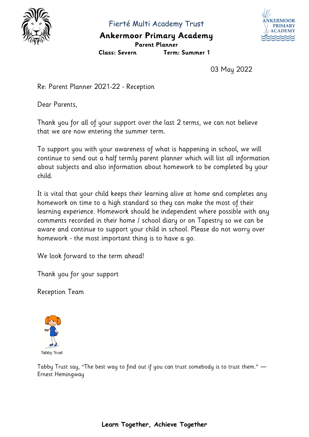

Fierté Multi Academy Trust

### **Ankermoor Primary Academy Parent Planner**



**Class: Severn Term: Summer 1** 

03 May 2022

Re: Parent Planner 2021-22 - Reception

Dear Parents,

Thank you for all of your support over the last 2 terms, we can not believe that we are now entering the summer term.

To support you with your awareness of what is happening in school, we will continue to send out a half termly parent planner which will list all information about subjects and also information about homework to be completed by your child.

It is vital that your child keeps their learning alive at home and completes any homework on time to a high standard so they can make the most of their learning experience. Homework should be independent where possible with any comments recorded in their home / school diary or on Tapestry so we can be aware and continue to support your child in school. Please do not worry over homework - the most important thing is to have a go.

We look forward to the term ahead!

Thank you for your support

Reception Team



Tabby Trust say, "The best way to find out if you can trust somebody is to trust them." ― Ernest Hemingway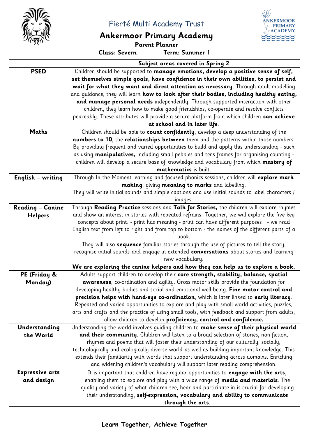

Fierté Multi Academy Trust

# **Ankermoor Primary Academy**

**Parent Planner**<br>Class: Severn Term:

**Class: Severn Term: Summer 1** 

**ÄNKERMOOR PRIMARY ACADEMY** 

|                          | Subject areas covered in Spring 2                                                               |  |  |
|--------------------------|-------------------------------------------------------------------------------------------------|--|--|
| <b>PSED</b>              | Children should be supported to manage emotions, develop a positive sense of self,              |  |  |
|                          | set themselves simple goals, have confidence in their own abilities, to persist and             |  |  |
|                          | wait for what they want and direct attention as necessary. Through adult modelling              |  |  |
|                          | and quidance, they will learn how to look after their bodies, including healthy eating,         |  |  |
|                          | and manage personal needs independently. Through supported interaction with other               |  |  |
|                          | children, they learn how to make good friendships, co-operate and resolve conflicts             |  |  |
|                          | peaceably. These attributes will provide a secure platform from which children can achieve      |  |  |
|                          | at school and in later life.                                                                    |  |  |
| Maths                    | Children should be able to count confidently, develop a deep understanding of the               |  |  |
|                          | numbers to 10, the relationships between them and the patterns within those numbers.            |  |  |
|                          | By providing frequent and varied opportunities to build and apply this understanding - such     |  |  |
|                          | as using manipulatives, including small pebbles and tens frames for organising counting -       |  |  |
|                          | children will develop a secure base of knowledge and vocabulary from which mastery of           |  |  |
|                          | mathematics is built.                                                                           |  |  |
| <b>English - writing</b> | Through In the Moment learning and focused phonics sessions, children will explore mark         |  |  |
|                          | making, giving meaning to marks and labelling.                                                  |  |  |
|                          | They will write initial sounds and simple captions and use initial sounds to label characters / |  |  |
|                          | images.                                                                                         |  |  |
| <b>Reading - Canine</b>  | Through Reading Practice sessions and Talk for Stories, the children will explore rhymes        |  |  |
| <b>Helpers</b>           | and show an interest in stories with repeated refrains. Together, we will explore the five key  |  |  |
|                          | concepts about print: - print has meaning - print can have different purposes - we read         |  |  |
|                          | English text from left to right and from top to bottom - the names of the different parts of a  |  |  |
|                          | book.                                                                                           |  |  |
|                          | They will also sequence familiar stories through the use of pictures to tell the story,         |  |  |
|                          | recognise initial sounds and engage in extended conversations about stories and learning        |  |  |
|                          | new vocabulary.                                                                                 |  |  |
|                          | We are exploring the canine helpers and how they can help us to explore a book.                 |  |  |
| PE (Friday &             | Adults support children to develop their core strength, stability, balance, spatial             |  |  |
| Monday)                  | awareness, co-ordination and agility. Gross motor skills provide the foundation for             |  |  |
|                          | developing healthy bodies and social and emotional well-being. Fine motor control and           |  |  |
|                          | precision helps with hand-eye co-ordination, which is later linked to early literacy.           |  |  |
|                          | Repeated and varied opportunities to explore and play with small world activities, puzzles,     |  |  |
|                          | arts and crafts and the practice of using small tools, with feedback and support from adults,   |  |  |
|                          | allow children to develop proficiency, control and confidence.                                  |  |  |
| Understanding            | Understanding the world involves guiding children to make sense of their physical world         |  |  |
| the World                | and their community. Children will listen to a broad selection of stories, non-fiction,         |  |  |
|                          | rhymes and poems that will foster their understanding of our culturally, socially,              |  |  |
|                          | technologically and ecologically diverse world as well as building important knowledge. This    |  |  |
|                          | extends their familiarity with words that support understanding across domains. Enriching       |  |  |
|                          | and widening children's vocabulary will support later reading comprehension.                    |  |  |
|                          |                                                                                                 |  |  |
| <b>Expressive arts</b>   | It is important that children have regular opportunities to engage with the arts,               |  |  |
| and design               | enabling them to explore and play with a wide range of media and materials. The                 |  |  |
|                          | quality and variety of what children see, hear and participate in is crucial for developing     |  |  |
|                          | their understanding, self-expression, vocabulary and ability to communicate                     |  |  |
|                          | through the arts.                                                                               |  |  |